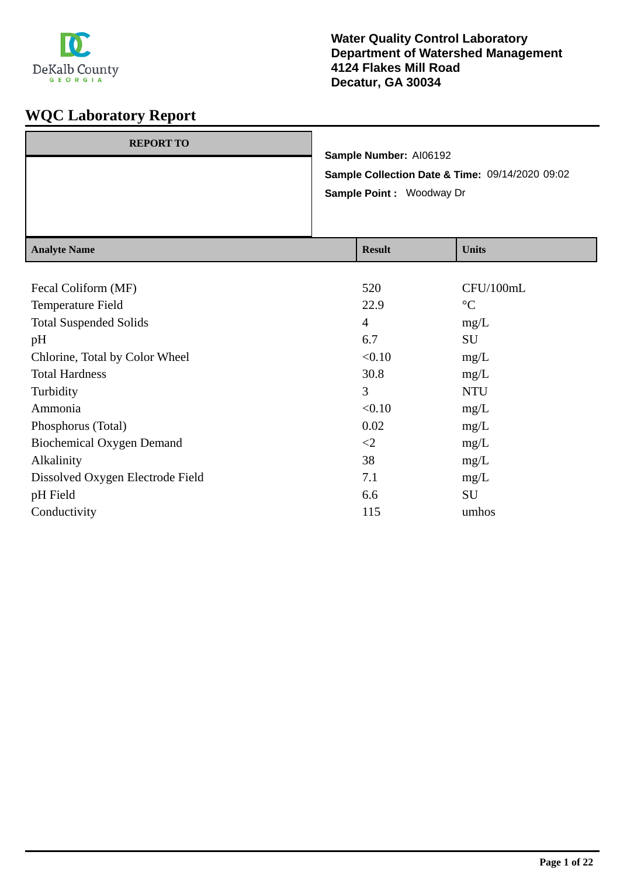

| $A$ noted Nome   |                                                                                    | $\mathbf{D}_{\alpha\alpha\gamma}$ . |  | $\overline{\text{II}}$ <sub>24a</sub> |
|------------------|------------------------------------------------------------------------------------|-------------------------------------|--|---------------------------------------|
|                  | Sample Collection Date & Time: 09/14/2020 09:02<br><b>Sample Point: Woodway Dr</b> |                                     |  |                                       |
|                  | Sample Number: AI06192                                                             |                                     |  |                                       |
| <b>REPORT TO</b> |                                                                                    |                                     |  |                                       |

| <b>Analyte Name</b>              | <b>Result</b>  | <b>Units</b>    |
|----------------------------------|----------------|-----------------|
|                                  |                |                 |
| Fecal Coliform (MF)              | 520            | CFU/100mL       |
| Temperature Field                | 22.9           | $\rm ^{\circ}C$ |
| <b>Total Suspended Solids</b>    | $\overline{4}$ | mg/L            |
| pH                               | 6.7            | SU              |
| Chlorine, Total by Color Wheel   | < 0.10         | mg/L            |
| <b>Total Hardness</b>            | 30.8           | mg/L            |
| Turbidity                        | 3              | <b>NTU</b>      |
| Ammonia                          | < 0.10         | mg/L            |
| Phosphorus (Total)               | 0.02           | mg/L            |
| <b>Biochemical Oxygen Demand</b> | $\leq$         | mg/L            |
| Alkalinity                       | 38             | mg/L            |
| Dissolved Oxygen Electrode Field | 7.1            | mg/L            |
| pH Field                         | 6.6            | SU              |
| Conductivity                     | 115            | umhos           |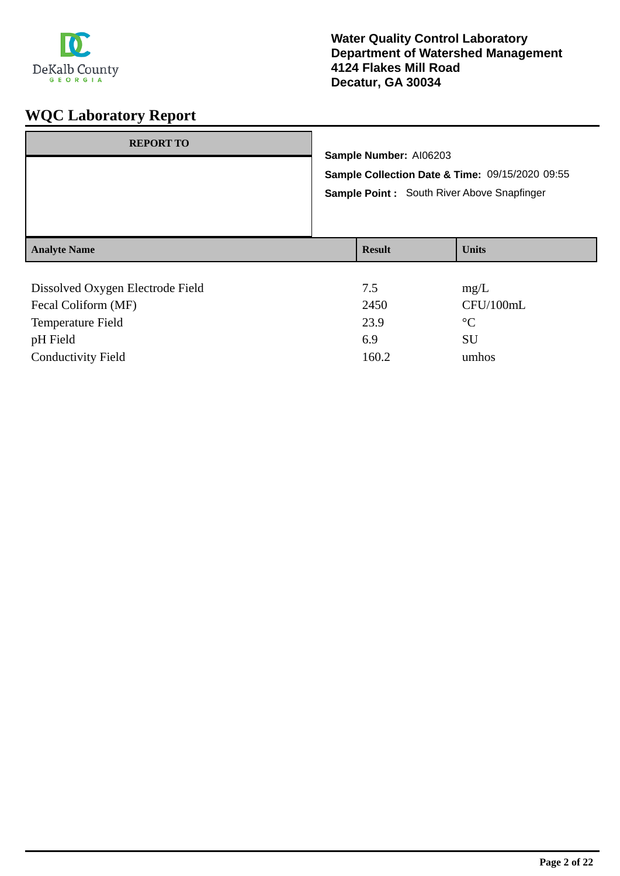

| <b>REPORT TO</b>                                                                     | Sample Number: AI06203<br>Sample Collection Date & Time: 09/15/2020 09:55<br>Sample Point: South River Above Snapfinger |                      |
|--------------------------------------------------------------------------------------|-------------------------------------------------------------------------------------------------------------------------|----------------------|
| <b>Analyte Name</b>                                                                  | <b>Result</b>                                                                                                           | <b>Units</b>         |
| Dissolved Oxygen Electrode Field<br>$\Gamma$ 1 $\Omega$ 1' $\ell$ $\Lambda$ $\Gamma$ | 7.5<br>$\bigcap$                                                                                                        | mg/L<br>$CITI/100$ I |

| Fecal Coliform (MF)       | 2450  | CFU/100mL |
|---------------------------|-------|-----------|
| Temperature Field         | 23.9  | $\circ$ C |
| pH Field                  | 6.9   | SU        |
| <b>Conductivity Field</b> | 160.2 | umhos     |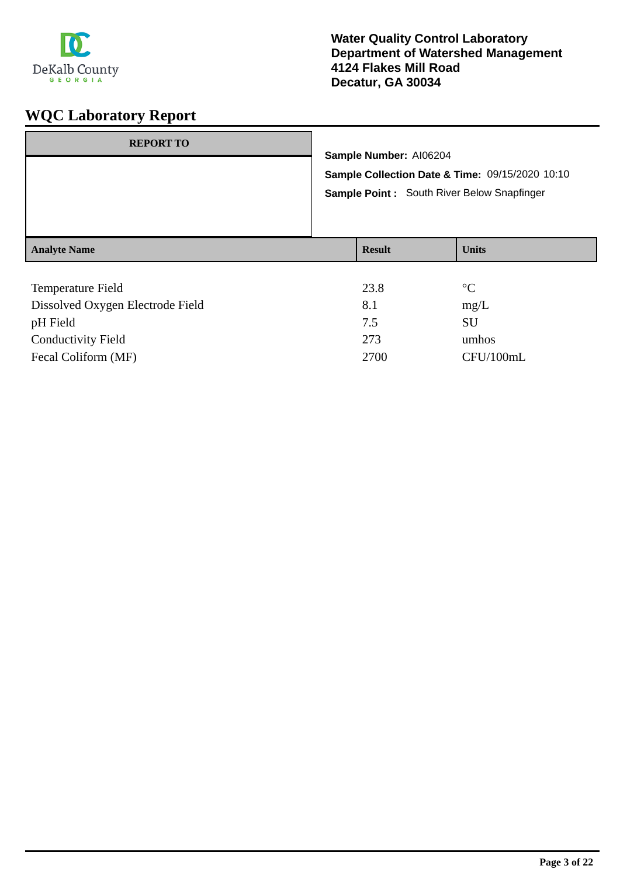

| <b>REPORT TO</b>    | Sample Number: AI06204<br>Sample Point: South River Below Snapfinger | Sample Collection Date & Time: 09/15/2020 10:10 |
|---------------------|----------------------------------------------------------------------|-------------------------------------------------|
| <b>Analyte Name</b> | <b>Result</b>                                                        | <b>Units</b>                                    |
| ---                 | $\sim$ $\sim$                                                        | $\sim$ $\sim$                                   |

| 23.8 | $\rm ^{\circ}C$ |
|------|-----------------|
| 8.1  | mg/L            |
| 7.5  | SU              |
| 273  | umhos           |
| 2700 | CFU/100mL       |
|      |                 |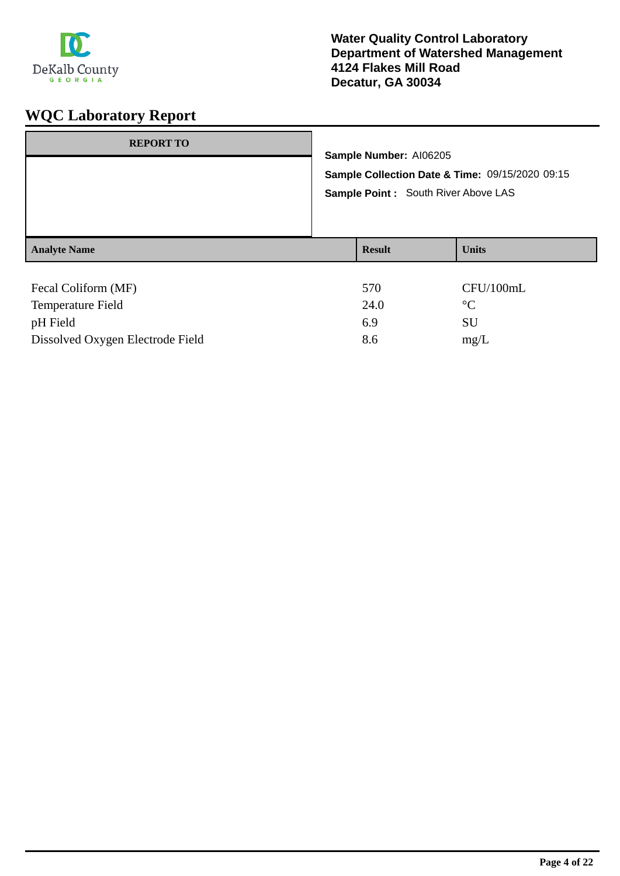

| <b>REPORT TO</b>    |                                      | Sample Number: AI06205<br>Sample Collection Date & Time: 09/15/2020 09:15 |                 |
|---------------------|--------------------------------------|---------------------------------------------------------------------------|-----------------|
|                     |                                      |                                                                           |                 |
|                     | Sample Point : South River Above LAS |                                                                           |                 |
|                     |                                      |                                                                           |                 |
| <b>Analyte Name</b> |                                      | <b>Result</b>                                                             | <b>Units</b>    |
|                     |                                      |                                                                           |                 |
| Fecal Coliform (MF) |                                      | 570                                                                       | CFU/100mL       |
| Temperature Field   |                                      | 24.0                                                                      | $\rm ^{\circ}C$ |
| pH Field            |                                      | 6.9                                                                       | SU              |

Dissolved Oxygen Electrode Field 8.6 mg/L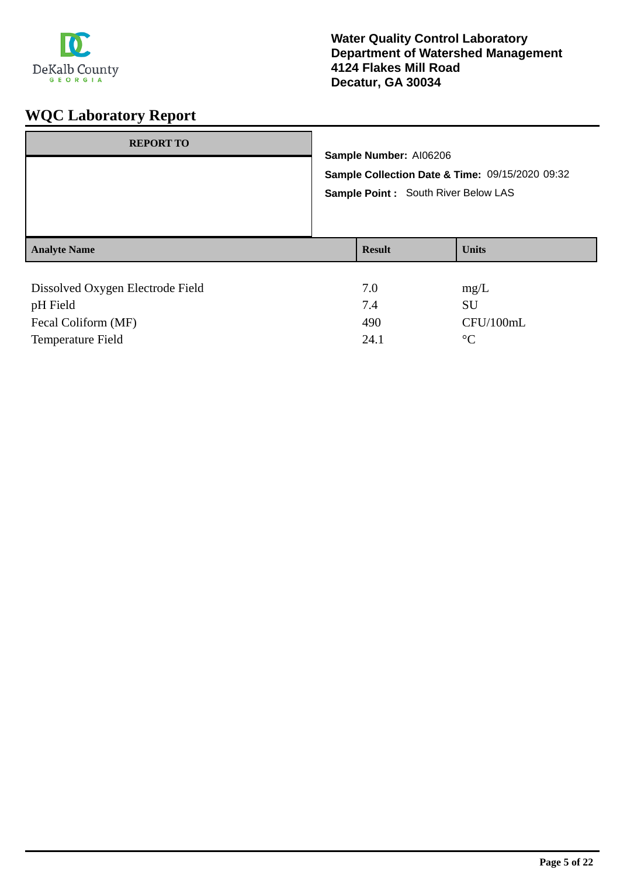

| <b>REPORT TO</b>                 |  | Sample Number: AI06206<br>Sample Collection Date & Time: 09/15/2020 09:32<br>Sample Point : South River Below LAS |              |
|----------------------------------|--|-------------------------------------------------------------------------------------------------------------------|--------------|
|                                  |  |                                                                                                                   |              |
|                                  |  |                                                                                                                   |              |
|                                  |  |                                                                                                                   |              |
| <b>Analyte Name</b>              |  | <b>Result</b>                                                                                                     | <b>Units</b> |
|                                  |  |                                                                                                                   |              |
| Dissolved Oxygen Electrode Field |  | 7.0                                                                                                               | mg/L         |
| pH Field                         |  | 7.4                                                                                                               | SU           |
| Fecal Coliform (MF)              |  | 490                                                                                                               | CFU/100mL    |

Temperature Field <sup>o</sup>C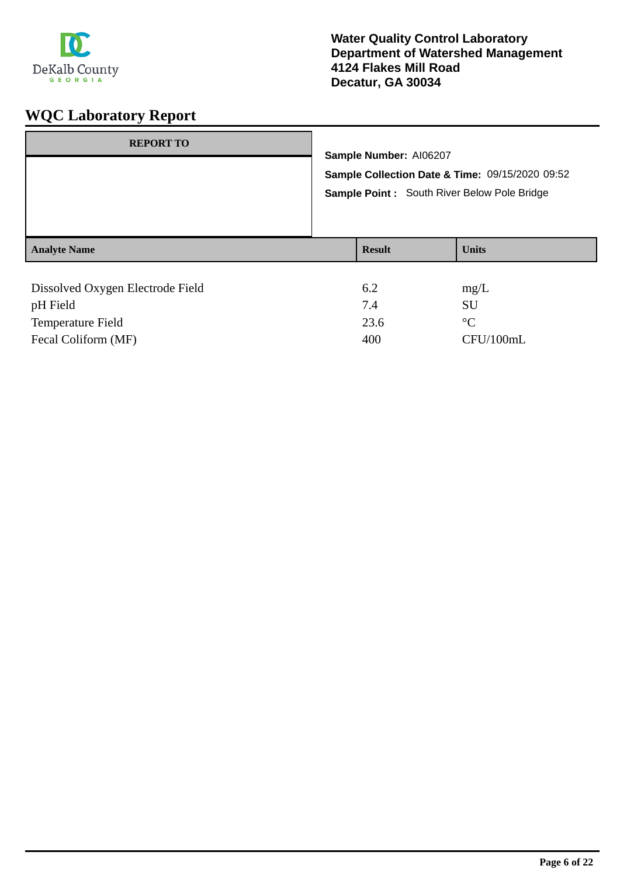

| <b>REPORT TO</b>                             | Sample Number: AI06207<br>Sample Collection Date & Time: 09/15/2020 09:52<br>Sample Point: South River Below Pole Bridge |              |  |
|----------------------------------------------|--------------------------------------------------------------------------------------------------------------------------|--------------|--|
| <b>Analyte Name</b>                          | <b>Result</b>                                                                                                            | <b>Units</b> |  |
| Dissolved Oxygen Electrode Field<br>pH Field | 6.2<br>7.4                                                                                                               | mg/L<br>SU   |  |

Temperature Field 23.6 °C

Fecal Coliform (MF) 400 CFU/100mL

**Page 6 of 22**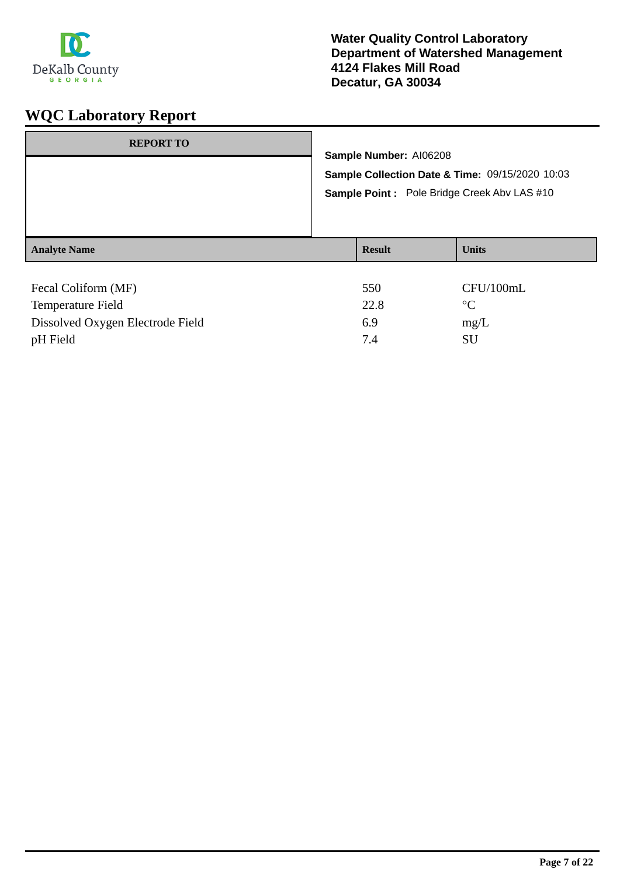

| <b>REPORT TO</b>    | Sample Number: AI06208<br>Sample Collection Date & Time: 09/15/2020 10:03<br>Sample Point: Pole Bridge Creek Abv LAS #10 |               |              |
|---------------------|--------------------------------------------------------------------------------------------------------------------------|---------------|--------------|
| <b>Analyte Name</b> |                                                                                                                          | <b>Result</b> | <b>Units</b> |
| Fecal Coliform (MF) |                                                                                                                          | 550           | CFU/100mL    |

| T cual component (TATE)          | JJV. | $U_{\rm 1} U_{\rm 2} U_{\rm 3} U_{\rm 4}$ |
|----------------------------------|------|-------------------------------------------|
| Temperature Field                | 22.8 | $\circ$ C                                 |
| Dissolved Oxygen Electrode Field | 6.9  | mg/L                                      |
| pH Field                         |      | SU.                                       |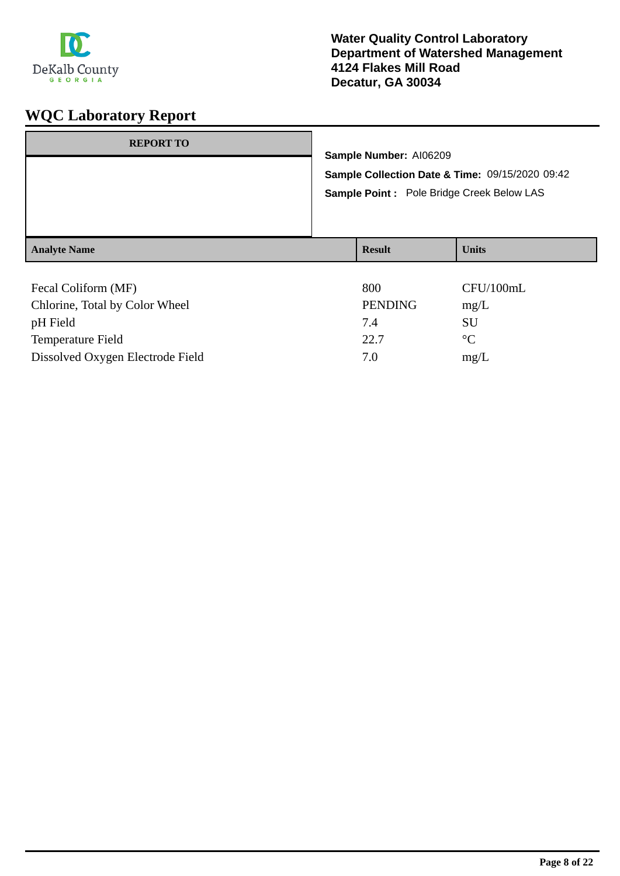

| <b>REPORT TO</b>                                                                                                  | Sample Number: AI06209<br>Sample Collection Date & Time: 09/15/2020 09:42<br>Sample Point : Pole Bridge Creek Below LAS |                |              |
|-------------------------------------------------------------------------------------------------------------------|-------------------------------------------------------------------------------------------------------------------------|----------------|--------------|
| <b>Analyte Name</b>                                                                                               |                                                                                                                         | <b>Result</b>  | <b>Units</b> |
| $\Gamma_{\alpha\alpha\alpha}$ $\Gamma_{\alpha}$ $\Gamma_{\alpha\alpha}$ $\Gamma_{\alpha\alpha}$ $\Gamma_{\alpha}$ |                                                                                                                         | 0 <sub>0</sub> | CETI/100mI   |

| Fecal Coliform (MF)              | 800            | CFU/100mL       |
|----------------------------------|----------------|-----------------|
| Chlorine, Total by Color Wheel   | <b>PENDING</b> | mg/L            |
| pH Field                         | 7.4            | SU              |
| <b>Temperature Field</b>         | 22.7           | $\rm ^{\circ}C$ |
| Dissolved Oxygen Electrode Field | 7.0            | mg/L            |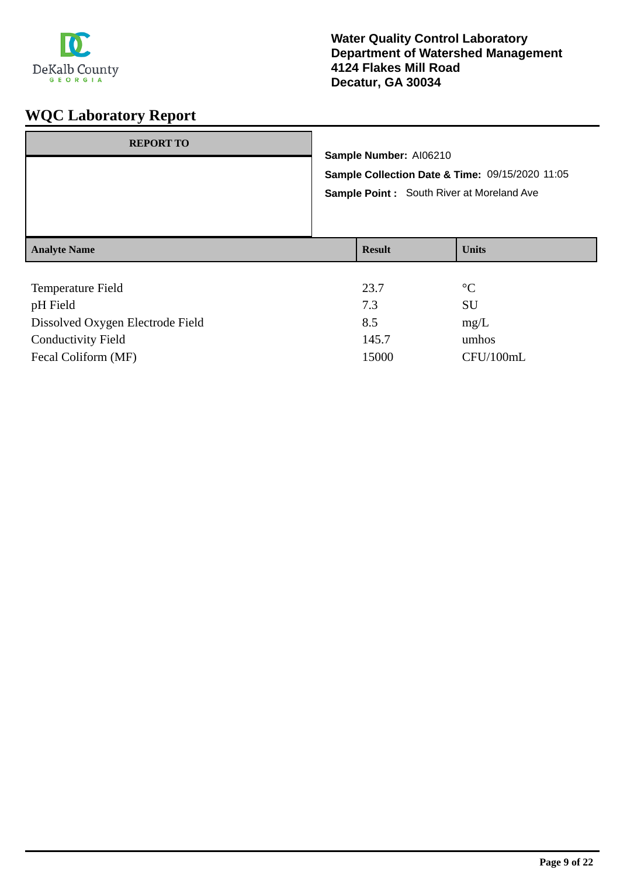

| <b>REPORT TO</b>                   | Sample Number: AI06210<br>Sample Collection Date & Time: 09/15/2020 11:05<br>Sample Point: South River at Moreland Ave |                               |  |
|------------------------------------|------------------------------------------------------------------------------------------------------------------------|-------------------------------|--|
| <b>Analyte Name</b>                | <b>Result</b>                                                                                                          | <b>Units</b>                  |  |
| Temperature Field<br>$\sim$ H Eald | 23.7<br>72                                                                                                             | $\rm ^{\circ}C$<br><b>CTT</b> |  |

| pH Field                         | 7.3   | SU        |
|----------------------------------|-------|-----------|
| Dissolved Oxygen Electrode Field | 8.5   | mg/L      |
| <b>Conductivity Field</b>        | 145.7 | umhos     |
| Fecal Coliform (MF)              | 15000 | CFU/100mL |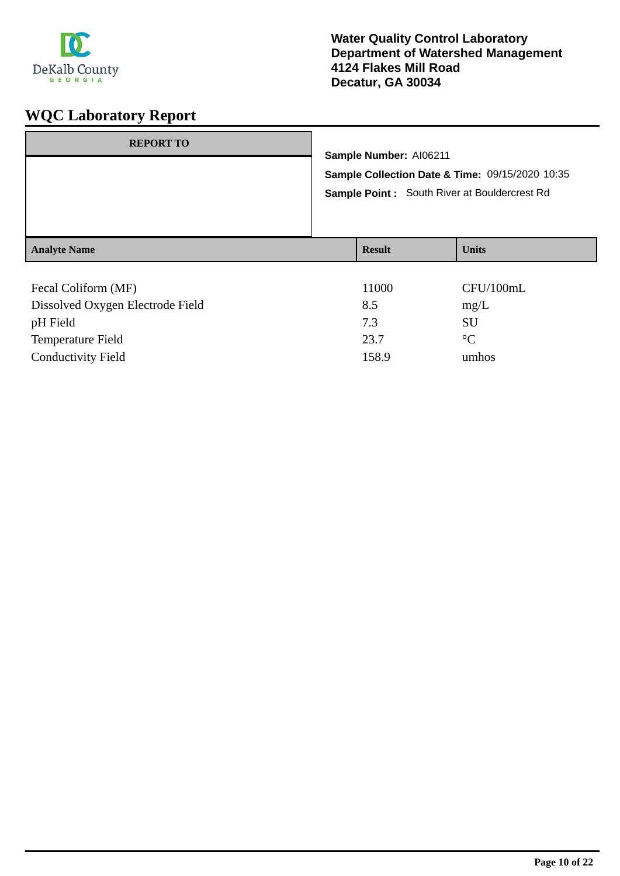

| <b>REPORT TO</b>    |                                                                                                        | Sample Number: AI06211 |              |
|---------------------|--------------------------------------------------------------------------------------------------------|------------------------|--------------|
|                     | Sample Collection Date & Time: 09/15/2020 10:35<br><b>Sample Point:</b> South River at Bouldercrest Rd |                        |              |
| <b>Analyte Name</b> |                                                                                                        | <b>Result</b>          | <b>Units</b> |
| Fecal Coliform (MF) |                                                                                                        | 11000                  | CFI1/100mI   |

| Fecal Coliform (MF)              | 11000 | CFU/100mL       |
|----------------------------------|-------|-----------------|
| Dissolved Oxygen Electrode Field | 8.5   | mg/L            |
| pH Field                         | 7.3   | SU              |
| <b>Temperature Field</b>         | 23.7  | $\rm ^{\circ}C$ |
| <b>Conductivity Field</b>        | 158.9 | umhos           |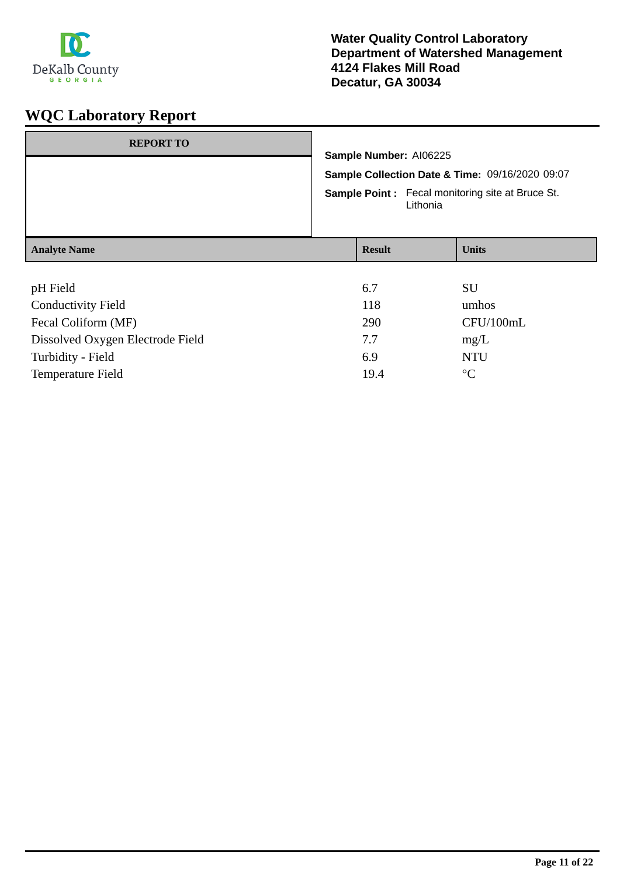

| <b>REPORT TO</b>                 | Sample Number: AI06225<br>Sample Collection Date & Time: 09/16/2020 09:07<br><b>Sample Point:</b> Fecal monitoring site at Bruce St.<br>Lithonia |  |              |
|----------------------------------|--------------------------------------------------------------------------------------------------------------------------------------------------|--|--------------|
| <b>Analyte Name</b>              | <b>Result</b>                                                                                                                                    |  | <b>Units</b> |
|                                  |                                                                                                                                                  |  |              |
| pH Field                         | 6.7                                                                                                                                              |  | <b>SU</b>    |
| <b>Conductivity Field</b>        | 118                                                                                                                                              |  | umhos        |
| Fecal Coliform (MF)              | 290                                                                                                                                              |  | CFU/100mL    |
| Dissolved Oxygen Electrode Field | 7.7                                                                                                                                              |  | mg/L         |
| Turbidity - Field                | 6.9                                                                                                                                              |  | <b>NTU</b>   |

Temperature Field 2008 2009 19.4 °C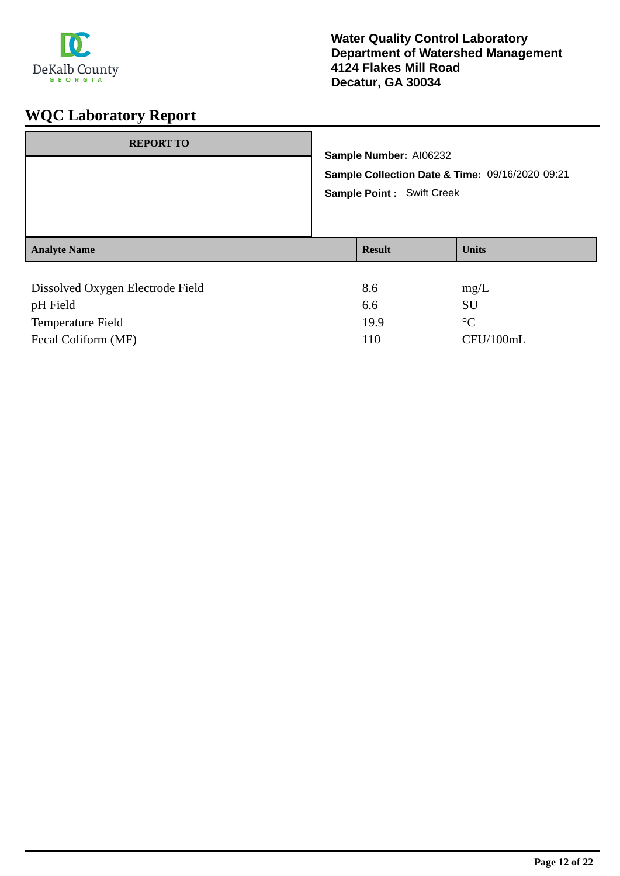

| <b>REPORT TO</b>                 | Sample Number: AI06232<br><b>Sample Point: Swift Creek</b> | Sample Collection Date & Time: 09/16/2020 09:21 |
|----------------------------------|------------------------------------------------------------|-------------------------------------------------|
| <b>Analyte Name</b>              | <b>Result</b>                                              | <b>Units</b>                                    |
|                                  |                                                            |                                                 |
| Dissolved Oxygen Electrode Field | 8.6                                                        | mg/L                                            |
| pH Field                         | 6.6                                                        | <b>SU</b>                                       |
| Temperature Field                | 19.9                                                       | $\rm ^{\circ}C$                                 |

Fecal Coliform (MF) 110 CFU/100mL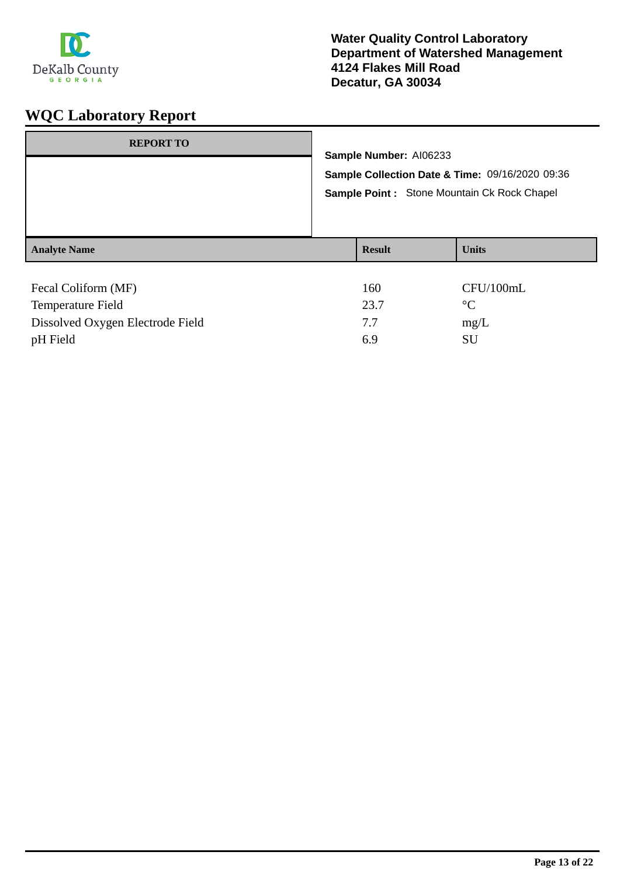

| <b>REPORT TO</b>    |               | Sample Number: AI06233<br>Sample Collection Date & Time: 09/16/2020 09:36 |  |
|---------------------|---------------|---------------------------------------------------------------------------|--|
|                     |               | Sample Point: Stone Mountain Ck Rock Chapel                               |  |
| <b>Analyte Name</b> | <b>Result</b> | <b>Units</b>                                                              |  |
| Fecal Coliform (MF) | 160           | CFU/100mL                                                                 |  |
| Temperature Field   | 237           | $^{\circ}C$                                                               |  |

| 23.7 | $^{\circ}C$ |
|------|-------------|
| 77   | mg/L        |
| 69   | SU          |
|      |             |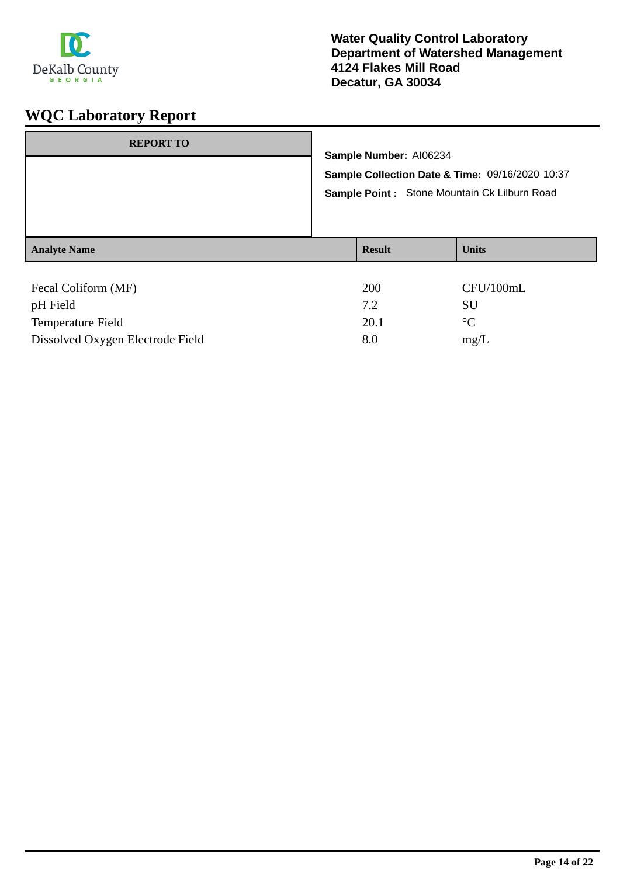

| <b>REPORT TO</b>    | Sample Number: AI06234<br>Sample Collection Date & Time: 09/16/2020 10:37<br>Sample Point : Stone Mountain Ck Lilburn Road |               |                 |
|---------------------|----------------------------------------------------------------------------------------------------------------------------|---------------|-----------------|
| <b>Analyte Name</b> |                                                                                                                            | <b>Result</b> | <b>Units</b>    |
|                     |                                                                                                                            |               |                 |
| Fecal Coliform (MF) |                                                                                                                            | 200           | CFU/100mL       |
| pH Field            |                                                                                                                            | 7.2           | <b>SU</b>       |
| Temperature Field   |                                                                                                                            | 20.1          | $\rm ^{\circ}C$ |

Dissolved Oxygen Electrode Field 8.0 mg/L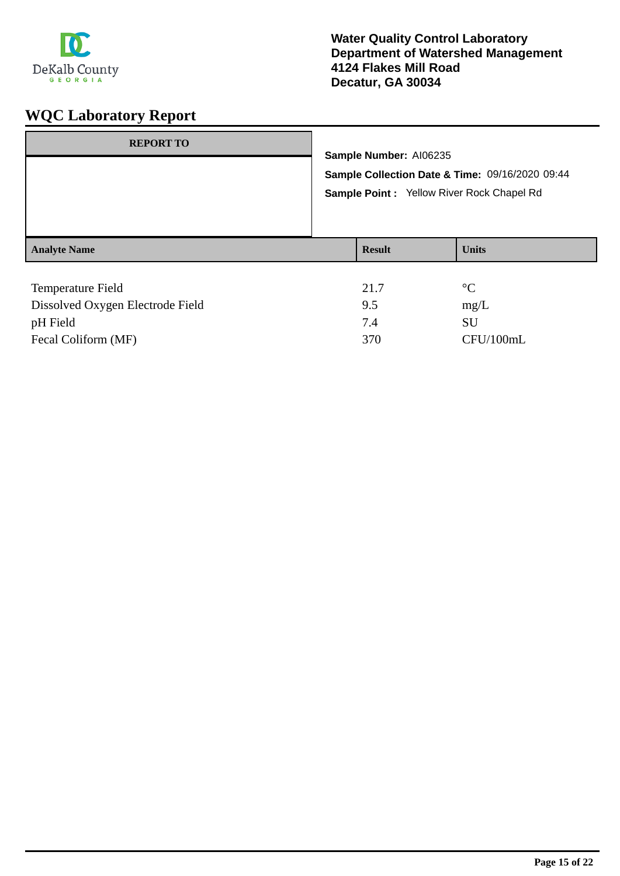

| <b>REPORT TO</b>         | Sample Number: AI06235<br>Sample Point : Yellow River Rock Chapel Rd | Sample Collection Date & Time: 09/16/2020 09:44 |
|--------------------------|----------------------------------------------------------------------|-------------------------------------------------|
| <b>Analyte Name</b>      | <b>Result</b>                                                        | <b>Units</b>                                    |
| <b>Temperature Field</b> | 21.7                                                                 | $\rm ^{\circ}C$                                 |

| Dissolved Oxygen Electrode Field | 9.5 | mg/L      |
|----------------------------------|-----|-----------|
| pH Field                         |     | SU        |
| Fecal Coliform (MF)              | 370 | CFU/100mL |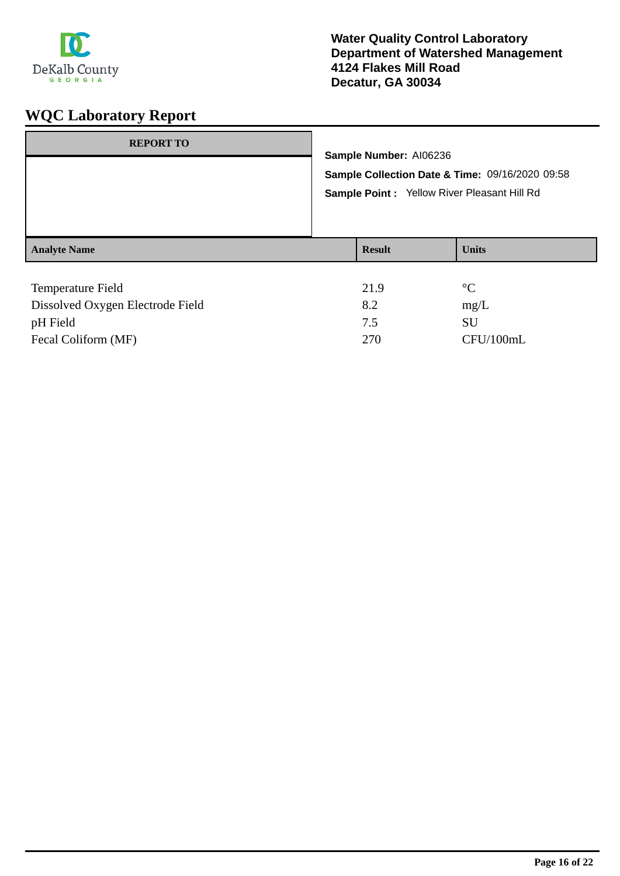

| <b>REPORT TO</b>         | Sample Number: AI06236<br>Sample Point: Yellow River Pleasant Hill Rd | Sample Collection Date & Time: 09/16/2020 09:58 |
|--------------------------|-----------------------------------------------------------------------|-------------------------------------------------|
| <b>Analyte Name</b>      | <b>Result</b>                                                         | <b>Units</b>                                    |
| <b>Temperature Field</b> | 21.9                                                                  | $^{\circ}C$                                     |

| 8.2 | mg/L      |
|-----|-----------|
|     | SU        |
| 270 | CFU/100mL |
|     |           |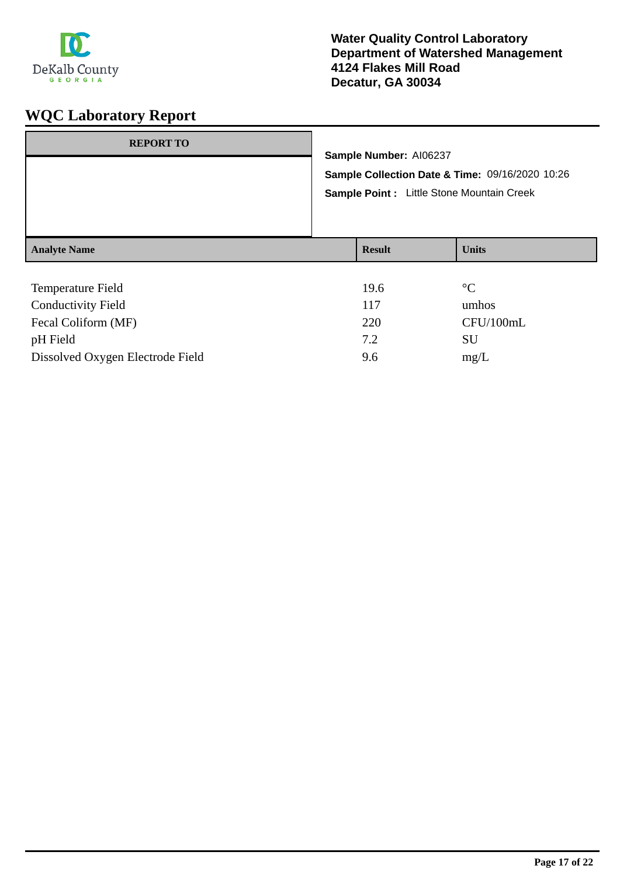

| <b>REPORT TO</b>          | Sample Number: AI06237<br>Sample Collection Date & Time: 09/16/2020 10:26<br>Sample Point : Little Stone Mountain Creek |               |                 |
|---------------------------|-------------------------------------------------------------------------------------------------------------------------|---------------|-----------------|
|                           |                                                                                                                         |               |                 |
| <b>Analyte Name</b>       |                                                                                                                         | <b>Result</b> | <b>Units</b>    |
|                           |                                                                                                                         |               |                 |
| Temperature Field         |                                                                                                                         | 19.6          | $\rm ^{\circ}C$ |
| <b>Conductivity Field</b> |                                                                                                                         | 117           | umhos           |
| Fecal Coliform (MF)       |                                                                                                                         | 220           | CFU/100mL       |

pH Field SU Dissolved Oxygen Electrode Field 9.6 mg/L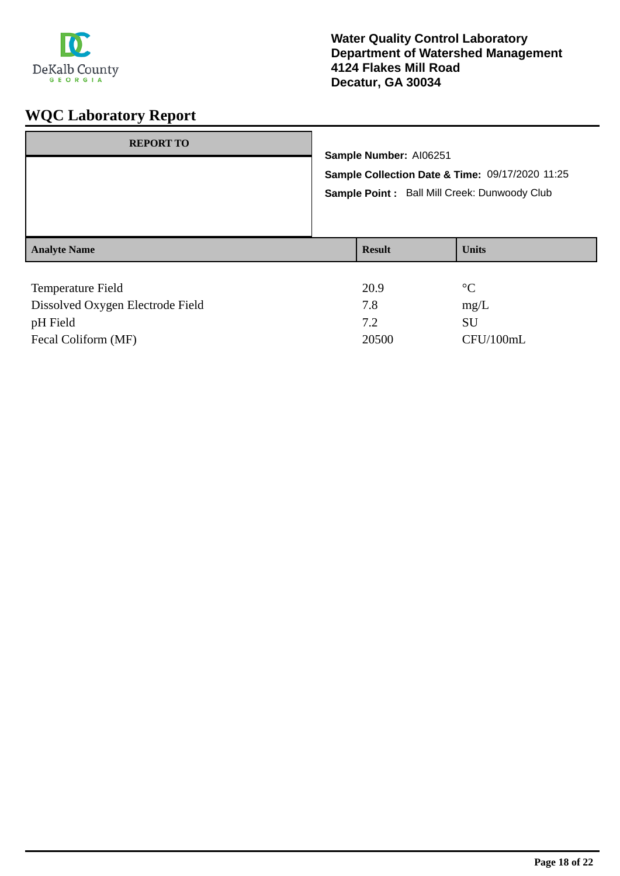

| <b>REPORT TO</b>         |  | Sample Number: Al06251<br>Sample Collection Date & Time: 09/17/2020 11:25<br>Sample Point : Ball Mill Creek: Dunwoody Club |                           |  |
|--------------------------|--|----------------------------------------------------------------------------------------------------------------------------|---------------------------|--|
|                          |  |                                                                                                                            |                           |  |
| <b>Analyte Name</b>      |  | <b>Result</b>                                                                                                              | <b>Units</b>              |  |
| <b>Temperature Field</b> |  | 20.9<br>- -                                                                                                                | $\rm ^{\circ}C$<br>$\sim$ |  |

| Dissolved Oxygen Electrode Field | 7.8   | mg/L      |
|----------------------------------|-------|-----------|
| pH Field                         |       | SU        |
| Fecal Coliform (MF)              | 20500 | CFU/100mL |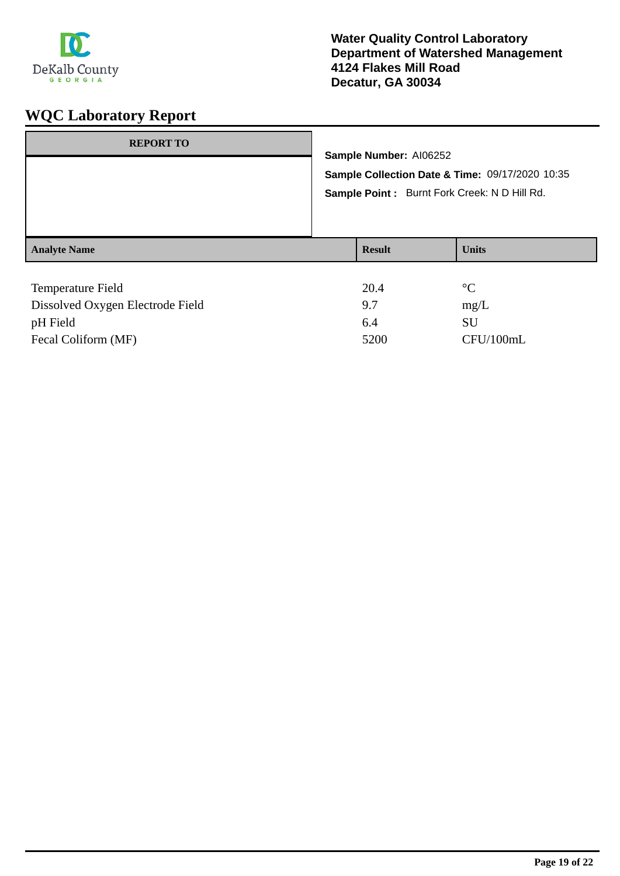

| <b>REPORT TO</b>         | Sample Number: AI06252<br>Sample Point : Burnt Fork Creek: N D Hill Rd. | Sample Collection Date & Time: 09/17/2020 10:35 |
|--------------------------|-------------------------------------------------------------------------|-------------------------------------------------|
| <b>Analyte Name</b>      | <b>Result</b>                                                           | <b>Units</b>                                    |
| <b>Temperature Field</b> | 20.4                                                                    | $\rm ^{\circ}C$                                 |

| Temperature I feru               | _    |           |
|----------------------------------|------|-----------|
| Dissolved Oxygen Electrode Field | 97   | mg/L      |
| pH Field                         | 6.4  | SU        |
| Fecal Coliform (MF)              | 5200 | CFU/100mL |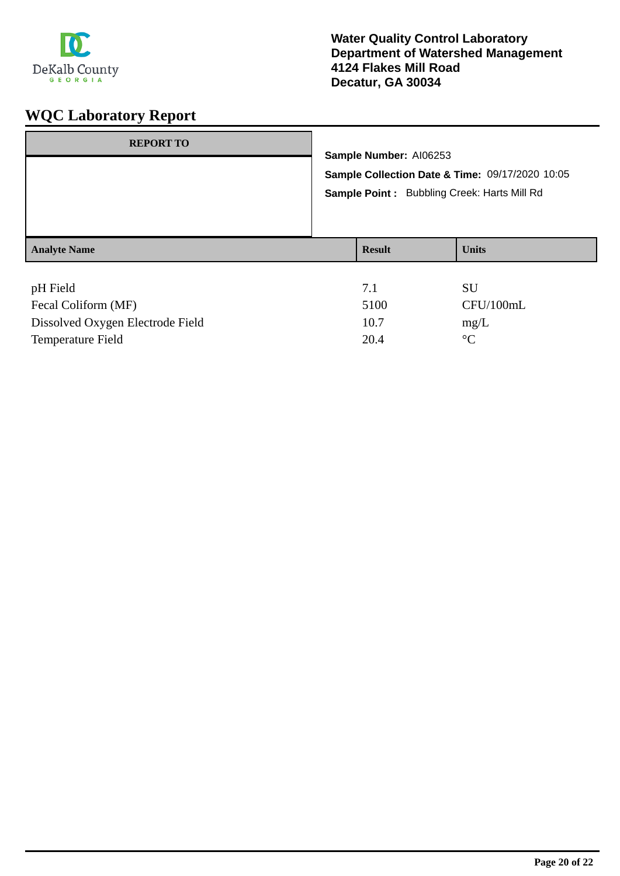

| Sample Number: AI06253<br>Sample Collection Date & Time: 09/17/2020 10:05 |              |  |
|---------------------------------------------------------------------------|--------------|--|
| Sample Point: Bubbling Creek: Harts Mill Rd                               |              |  |
| <b>Result</b>                                                             | <b>Units</b> |  |
| 7.1                                                                       | SU           |  |
|                                                                           |              |  |

| Fecal Coliform (MF)              | 5100 | CFU/100mL |
|----------------------------------|------|-----------|
| Dissolved Oxygen Electrode Field | 10.7 | mg/L      |
| Temperature Field                | 20.4 | $\circ$ C |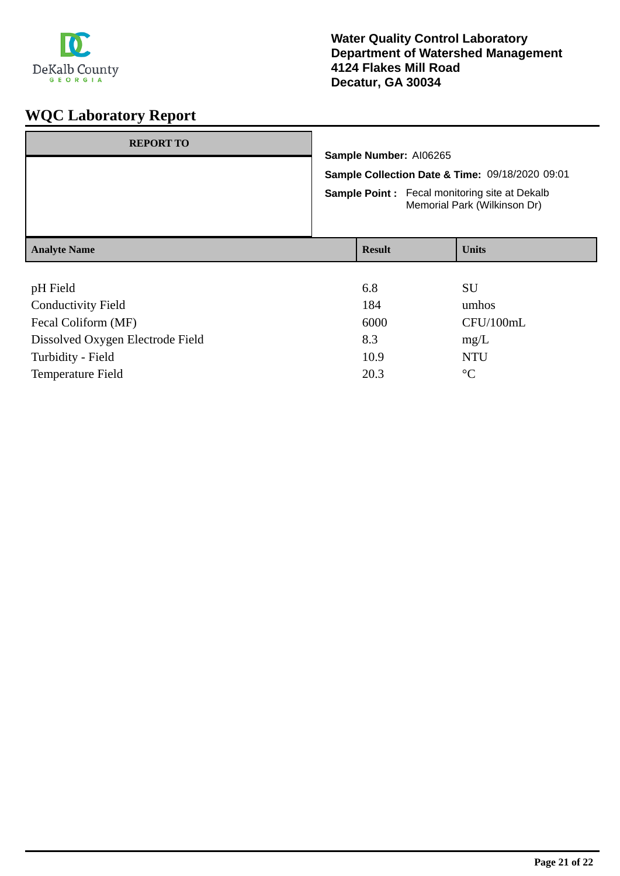

| <b>REPORT TO</b>          | Sample Number: AI06265<br>Sample Collection Date & Time: 09/18/2020 09:01<br><b>Sample Point:</b> Fecal monitoring site at Dekalb<br>Memorial Park (Wilkinson Dr) |               |              |
|---------------------------|-------------------------------------------------------------------------------------------------------------------------------------------------------------------|---------------|--------------|
|                           |                                                                                                                                                                   |               |              |
|                           |                                                                                                                                                                   |               |              |
|                           |                                                                                                                                                                   |               |              |
| <b>Analyte Name</b>       |                                                                                                                                                                   | <b>Result</b> | <b>Units</b> |
|                           |                                                                                                                                                                   |               |              |
| pH Field                  |                                                                                                                                                                   | 6.8           | <b>SU</b>    |
| <b>Conductivity Field</b> |                                                                                                                                                                   | 184           | umhos        |

| Fecal Coliform (MF)              | 6000 | CFU/100n  |
|----------------------------------|------|-----------|
| Dissolved Oxygen Electrode Field | 8.3  | mg/L      |
| Turbidity - Field                | 10.9 | NTU       |
| Temperature Field                | 20.3 | $\circ$ C |